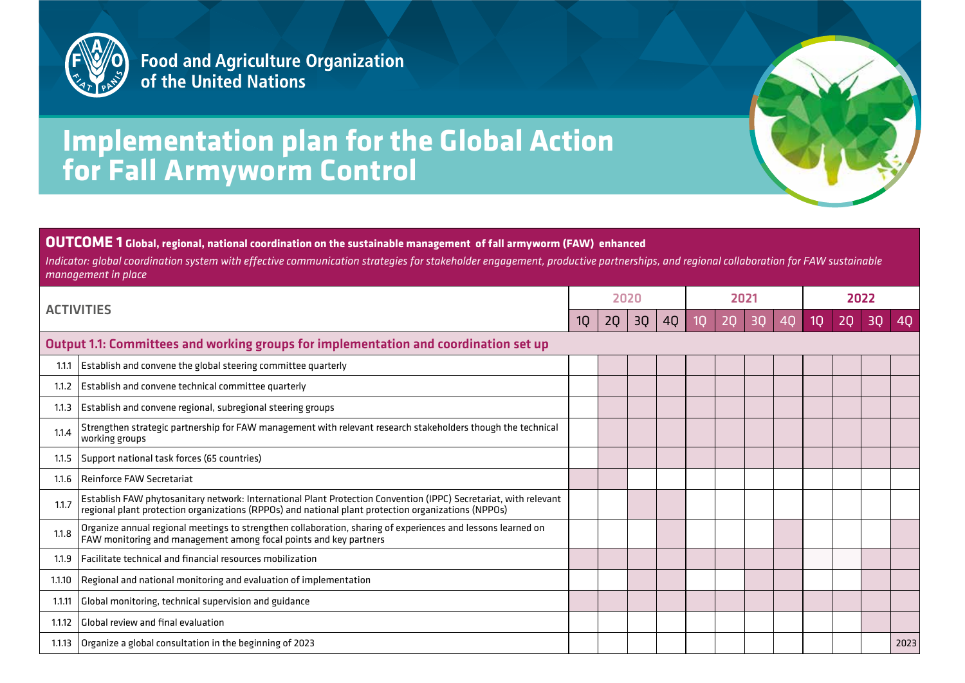

**Food and Agriculture Organization** of the United Nations

## **Implementation plan for the Global Action for Fall Armyworm Control**

## **OUTCOME 1 Global, regional, national coordination on the sustainable management of fall armyworm (FAW) enhanced**

*Indicator: global coordination system with effective communication strategies for stakeholder engagement, productive partnerships, and regional collaboration for FAW sustainable management in place*

| <b>ACTIVITIES</b> |                                                                                                                                                                                                                         | 2020      |    |    |                | 2021 |    |    |    |    |    |    |      |
|-------------------|-------------------------------------------------------------------------------------------------------------------------------------------------------------------------------------------------------------------------|-----------|----|----|----------------|------|----|----|----|----|----|----|------|
|                   |                                                                                                                                                                                                                         | <b>1Q</b> | 20 | 3Q | 4 <sub>Q</sub> | 1∩   | 20 | 3C | 40 | 10 | 20 | 30 | 40   |
|                   | Output 1.1: Committees and working groups for implementation and coordination set up                                                                                                                                    |           |    |    |                |      |    |    |    |    |    |    |      |
| 1.1.1             | Establish and convene the global steering committee quarterly                                                                                                                                                           |           |    |    |                |      |    |    |    |    |    |    |      |
| 1.1.2             | Establish and convene technical committee quarterly                                                                                                                                                                     |           |    |    |                |      |    |    |    |    |    |    |      |
| 1.1.3             | Establish and convene regional, subregional steering groups                                                                                                                                                             |           |    |    |                |      |    |    |    |    |    |    |      |
| 1.1.4             | Strengthen strategic partnership for FAW management with relevant research stakeholders though the technical<br>working groups                                                                                          |           |    |    |                |      |    |    |    |    |    |    |      |
| 1.1.5             | Support national task forces (65 countries)                                                                                                                                                                             |           |    |    |                |      |    |    |    |    |    |    |      |
| 1.1.6             | Reinforce FAW Secretariat                                                                                                                                                                                               |           |    |    |                |      |    |    |    |    |    |    |      |
| 1.1.7             | Establish FAW phytosanitary network: International Plant Protection Convention (IPPC) Secretariat, with relevant<br>regional plant protection organizations (RPPOs) and national plant protection organizations (NPPOs) |           |    |    |                |      |    |    |    |    |    |    |      |
| 1.1.8             | Organize annual regional meetings to strengthen collaboration, sharing of experiences and lessons learned on<br>FAW monitoring and management among focal points and key partners                                       |           |    |    |                |      |    |    |    |    |    |    |      |
| 1.1.9             | Facilitate technical and financial resources mobilization                                                                                                                                                               |           |    |    |                |      |    |    |    |    |    |    |      |
| 1.1.10            | Regional and national monitoring and evaluation of implementation                                                                                                                                                       |           |    |    |                |      |    |    |    |    |    |    |      |
| 1.1.11            | Global monitoring, technical supervision and guidance                                                                                                                                                                   |           |    |    |                |      |    |    |    |    |    |    |      |
| 1.1.12            | Global review and final evaluation                                                                                                                                                                                      |           |    |    |                |      |    |    |    |    |    |    |      |
| 1.1.13            | Organize a global consultation in the beginning of 2023                                                                                                                                                                 |           |    |    |                |      |    |    |    |    |    |    | 2023 |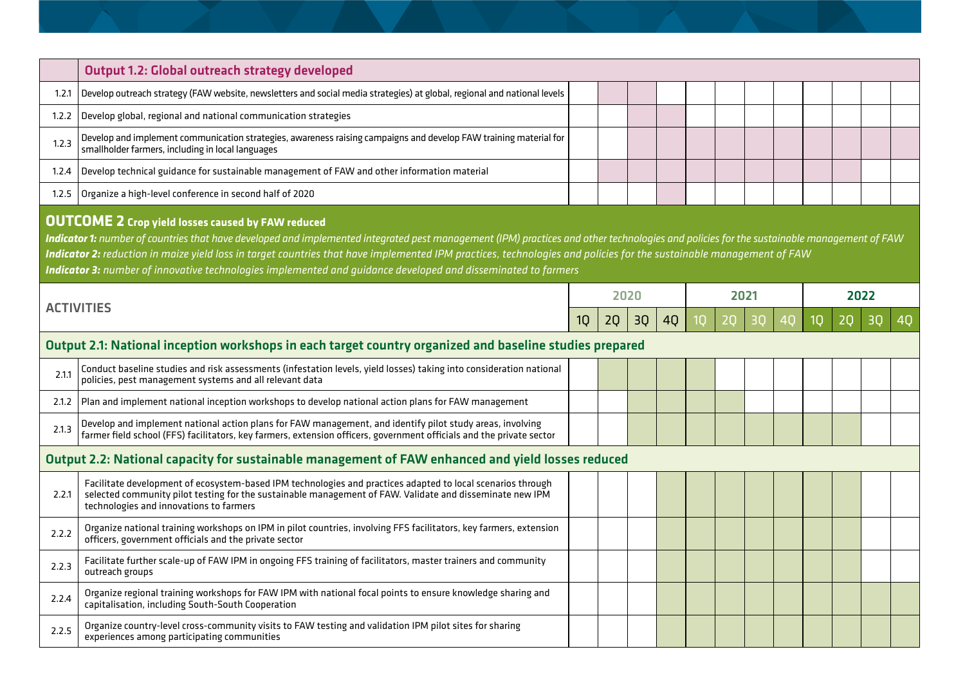|                                                                                                                                                                                                                                                                                                                                                                                                                                                                                                                                                      | Output 1.2: Global outreach strategy developed                                                                                                                                                                                                                     |    |      |    |    |      |    |    |    |    |      |          |  |
|------------------------------------------------------------------------------------------------------------------------------------------------------------------------------------------------------------------------------------------------------------------------------------------------------------------------------------------------------------------------------------------------------------------------------------------------------------------------------------------------------------------------------------------------------|--------------------------------------------------------------------------------------------------------------------------------------------------------------------------------------------------------------------------------------------------------------------|----|------|----|----|------|----|----|----|----|------|----------|--|
| 1.2.1                                                                                                                                                                                                                                                                                                                                                                                                                                                                                                                                                | Develop outreach strategy (FAW website, newsletters and social media strategies) at global, regional and national levels                                                                                                                                           |    |      |    |    |      |    |    |    |    |      |          |  |
| 1.2.2                                                                                                                                                                                                                                                                                                                                                                                                                                                                                                                                                | Develop global, regional and national communication strategies                                                                                                                                                                                                     |    |      |    |    |      |    |    |    |    |      |          |  |
| 1.2.3                                                                                                                                                                                                                                                                                                                                                                                                                                                                                                                                                | Develop and implement communication strategies, awareness raising campaigns and develop FAW training material for<br>smallholder farmers, including in local languages                                                                                             |    |      |    |    |      |    |    |    |    |      |          |  |
| 1.2.4                                                                                                                                                                                                                                                                                                                                                                                                                                                                                                                                                | Develop technical guidance for sustainable management of FAW and other information material                                                                                                                                                                        |    |      |    |    |      |    |    |    |    |      |          |  |
| 1.2.5                                                                                                                                                                                                                                                                                                                                                                                                                                                                                                                                                | Organize a high-level conference in second half of 2020                                                                                                                                                                                                            |    |      |    |    |      |    |    |    |    |      |          |  |
| <b>OUTCOME 2</b> Crop yield losses caused by FAW reduced<br>Indicator 1: number of countries that have developed and implemented integrated pest management (IPM) practices and other technologies and policies for the sustainable management of FAW<br>Indicator 2: reduction in maize yield loss in target countries that have implemented IPM practices, technologies and policies for the sustainable management of FAW<br><b>Indicator 3:</b> number of innovative technologies implemented and guidance developed and disseminated to farmers |                                                                                                                                                                                                                                                                    |    |      |    |    |      |    |    |    |    |      |          |  |
|                                                                                                                                                                                                                                                                                                                                                                                                                                                                                                                                                      | <b>ACTIVITIES</b>                                                                                                                                                                                                                                                  |    | 2020 |    |    | 2021 |    |    |    |    | 2022 |          |  |
|                                                                                                                                                                                                                                                                                                                                                                                                                                                                                                                                                      |                                                                                                                                                                                                                                                                    | 1Q | 2Q   | 3Q | 40 | 10   | 20 | 30 | 40 | 10 | 20   | 30<br>40 |  |
|                                                                                                                                                                                                                                                                                                                                                                                                                                                                                                                                                      | Output 2.1: National inception workshops in each target country organized and baseline studies prepared                                                                                                                                                            |    |      |    |    |      |    |    |    |    |      |          |  |
| 2.1.1                                                                                                                                                                                                                                                                                                                                                                                                                                                                                                                                                | Conduct baseline studies and risk assessments (infestation levels, yield losses) taking into consideration national<br>policies, pest management systems and all relevant data                                                                                     |    |      |    |    |      |    |    |    |    |      |          |  |
| 2.1.2                                                                                                                                                                                                                                                                                                                                                                                                                                                                                                                                                | Plan and implement national inception workshops to develop national action plans for FAW management                                                                                                                                                                |    |      |    |    |      |    |    |    |    |      |          |  |
| 2.1.3                                                                                                                                                                                                                                                                                                                                                                                                                                                                                                                                                | Develop and implement national action plans for FAW management, and identify pilot study areas, involving<br>farmer field school (FFS) facilitators, key farmers, extension officers, government officials and the private sector                                  |    |      |    |    |      |    |    |    |    |      |          |  |
|                                                                                                                                                                                                                                                                                                                                                                                                                                                                                                                                                      | Output 2.2: National capacity for sustainable management of FAW enhanced and yield losses reduced                                                                                                                                                                  |    |      |    |    |      |    |    |    |    |      |          |  |
| 2.2.1                                                                                                                                                                                                                                                                                                                                                                                                                                                                                                                                                | Facilitate development of ecosystem-based IPM technologies and practices adapted to local scenarios through<br>selected community pilot testing for the sustainable management of FAW. Validate and disseminate new IPM<br>technologies and innovations to farmers |    |      |    |    |      |    |    |    |    |      |          |  |
| 2.2.2                                                                                                                                                                                                                                                                                                                                                                                                                                                                                                                                                | Organize national training workshops on IPM in pilot countries, involving FFS facilitators, key farmers, extension<br>officers, government officials and the private sector                                                                                        |    |      |    |    |      |    |    |    |    |      |          |  |
| 2.2.3                                                                                                                                                                                                                                                                                                                                                                                                                                                                                                                                                | Facilitate further scale-up of FAW IPM in ongoing FFS training of facilitators, master trainers and community<br>outreach groups                                                                                                                                   |    |      |    |    |      |    |    |    |    |      |          |  |
| 2.2.4                                                                                                                                                                                                                                                                                                                                                                                                                                                                                                                                                | Organize regional training workshops for FAW IPM with national focal points to ensure knowledge sharing and<br>capitalisation, including South-South Cooperation                                                                                                   |    |      |    |    |      |    |    |    |    |      |          |  |
| 2.2.5                                                                                                                                                                                                                                                                                                                                                                                                                                                                                                                                                | Organize country-level cross-community visits to FAW testing and validation IPM pilot sites for sharing<br>experiences among participating communities                                                                                                             |    |      |    |    |      |    |    |    |    |      |          |  |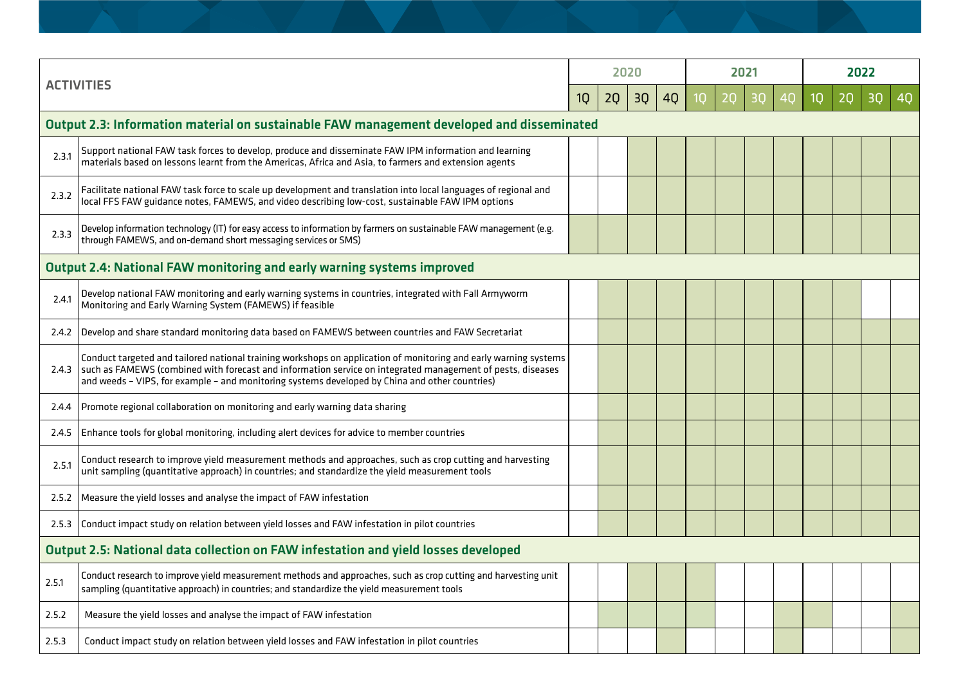|                                                                                           | <b>ACTIVITIES</b>                                                                                                                                                                                                                                                                                                                |    |    | 2020 |    |                 |    | 2021 |    |    | 2022 |    |    |  |
|-------------------------------------------------------------------------------------------|----------------------------------------------------------------------------------------------------------------------------------------------------------------------------------------------------------------------------------------------------------------------------------------------------------------------------------|----|----|------|----|-----------------|----|------|----|----|------|----|----|--|
|                                                                                           |                                                                                                                                                                                                                                                                                                                                  | 1Q | 2Q | 3Q   | 4Q | 10 <sub>1</sub> | 20 | 30   | 40 | 10 | 20   | 30 | 40 |  |
| Output 2.3: Information material on sustainable FAW management developed and disseminated |                                                                                                                                                                                                                                                                                                                                  |    |    |      |    |                 |    |      |    |    |      |    |    |  |
| 2.3.1                                                                                     | Support national FAW task forces to develop, produce and disseminate FAW IPM information and learning<br>materials based on lessons learnt from the Americas, Africa and Asia, to farmers and extension agents                                                                                                                   |    |    |      |    |                 |    |      |    |    |      |    |    |  |
| 2.3.2                                                                                     | Facilitate national FAW task force to scale up development and translation into local languages of regional and<br>local FFS FAW guidance notes, FAMEWS, and video describing low-cost, sustainable FAW IPM options                                                                                                              |    |    |      |    |                 |    |      |    |    |      |    |    |  |
| 2.3.3                                                                                     | Develop information technology (IT) for easy access to information by farmers on sustainable FAW management (e.g.<br>through FAMEWS, and on-demand short messaging services or SMS)                                                                                                                                              |    |    |      |    |                 |    |      |    |    |      |    |    |  |
|                                                                                           | Output 2.4: National FAW monitoring and early warning systems improved                                                                                                                                                                                                                                                           |    |    |      |    |                 |    |      |    |    |      |    |    |  |
| 2.4.1                                                                                     | Develop national FAW monitoring and early warning systems in countries, integrated with Fall Armyworm<br>Monitoring and Early Warning System (FAMEWS) if feasible                                                                                                                                                                |    |    |      |    |                 |    |      |    |    |      |    |    |  |
|                                                                                           | 2.4.2 Develop and share standard monitoring data based on FAMEWS between countries and FAW Secretariat                                                                                                                                                                                                                           |    |    |      |    |                 |    |      |    |    |      |    |    |  |
| 2.4.3                                                                                     | Conduct targeted and tailored national training workshops on application of monitoring and early warning systems<br>such as FAMEWS (combined with forecast and information service on integrated management of pests, diseases<br>and weeds - VIPS, for example - and monitoring systems developed by China and other countries) |    |    |      |    |                 |    |      |    |    |      |    |    |  |
| 2.4.4                                                                                     | Promote regional collaboration on monitoring and early warning data sharing                                                                                                                                                                                                                                                      |    |    |      |    |                 |    |      |    |    |      |    |    |  |
|                                                                                           | 2.4.5   Enhance tools for global monitoring, including alert devices for advice to member countries                                                                                                                                                                                                                              |    |    |      |    |                 |    |      |    |    |      |    |    |  |
| 2.5.1                                                                                     | Conduct research to improve yield measurement methods and approaches, such as crop cutting and harvesting<br>unit sampling (quantitative approach) in countries; and standardize the yield measurement tools                                                                                                                     |    |    |      |    |                 |    |      |    |    |      |    |    |  |
|                                                                                           | 2.5.2 Measure the yield losses and analyse the impact of FAW infestation                                                                                                                                                                                                                                                         |    |    |      |    |                 |    |      |    |    |      |    |    |  |
|                                                                                           | 2.5.3 Conduct impact study on relation between yield losses and FAW infestation in pilot countries                                                                                                                                                                                                                               |    |    |      |    |                 |    |      |    |    |      |    |    |  |
|                                                                                           | Output 2.5: National data collection on FAW infestation and yield losses developed                                                                                                                                                                                                                                               |    |    |      |    |                 |    |      |    |    |      |    |    |  |
| 2.5.1                                                                                     | Conduct research to improve yield measurement methods and approaches, such as crop cutting and harvesting unit<br>sampling (quantitative approach) in countries; and standardize the yield measurement tools                                                                                                                     |    |    |      |    |                 |    |      |    |    |      |    |    |  |
| 2.5.2                                                                                     | Measure the yield losses and analyse the impact of FAW infestation                                                                                                                                                                                                                                                               |    |    |      |    |                 |    |      |    |    |      |    |    |  |
| 2.5.3                                                                                     | Conduct impact study on relation between yield losses and FAW infestation in pilot countries                                                                                                                                                                                                                                     |    |    |      |    |                 |    |      |    |    |      |    |    |  |